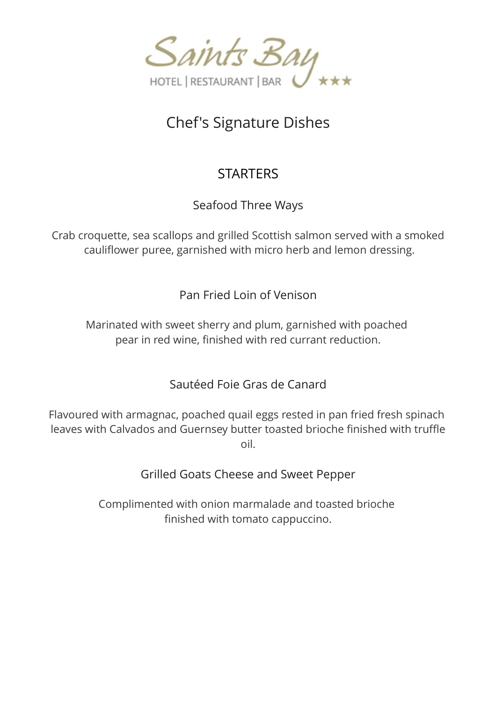

# Chef's Signature Dishes

# **STARTERS**

Seafood Three Ways

Crab croquette, sea scallops and grilled Scottish salmon served with a smoked cauliflower puree, garnished with micro herb and lemon dressing.

Pan Fried Loin of Venison

Marinated with sweet sherry and plum, garnished with poached pear in red wine, finished with red currant reduction.

Sautéed Foie Gras de Canard

Flavoured with armagnac, poached quail eggs rested in pan fried fresh spinach leaves with Calvados and Guernsey butter toasted brioche finished with truffle oil.

Grilled Goats Cheese and Sweet Pepper

Complimented with onion marmalade and toasted brioche finished with tomato cappuccino.